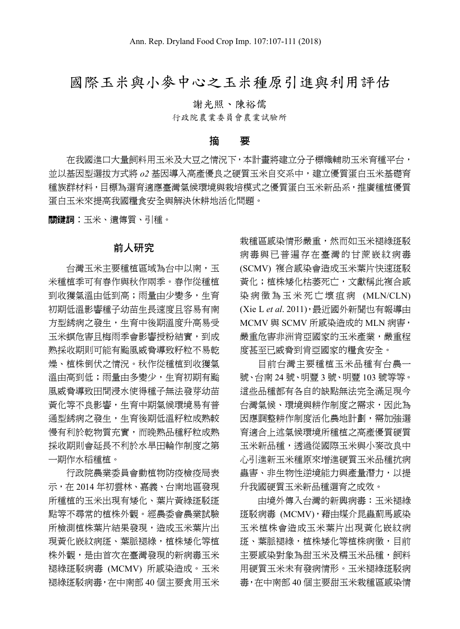# 國際玉米與小麥中心之玉米種原引進與利用評估

謝光照、陳裕儒

行政院農業委員會農業試驗所

#### 摘 要

在我國進口大量飼料用玉米及大豆之情況下,本計畫將建立分子標幟輔助玉米育種平台, 並以基因型選拔方式將 *o2* 基因導入高產優良之硬質玉米自交系中,建立優質蛋白玉米基礎育 種族群材料,目標為選育適應臺灣氣候環境與栽培模式之優質蛋白玉米新品系,推廣種植優質 蛋白玉米來提高我國糧食安全與解決休耕地活化問題。

關鍵詞︰玉米、遺傳質、引種。

#### 前人研究

**台灣玉米主要種植區域為台中以南,玉** 米種植季可有春作與秋作兩季。春作從種植 到收獲氣溫由低到高;雨量由少變多,生育 初期低溫影響種子幼苗生長速度且容易有南 方型銹病之發生,生育中後期溫度升高易受 玉米螟危害且梅雨季會影響授粉結實,到成 熟採收期則可能有颱風威脅導致籽粒不易乾 燥、植株倒伏之情況。秋作從種植到收獲氣 溫由高到低;雨量由多變少,生育初期有颱 風威脅導致田間浸水使得種子無法發芽幼苗 黃化等不良影響,生育中期氣候環境易有普 通型銹病之發生,生育後期低溫籽粒成熟較 慢有利於乾物質充實,而晚熟品種籽粒成熟 採收期則會延長不利於水旱田輪作制度之第 一期作水稻種植。

行政院農業委員會動植物防疫檢疫局表 示,在 2014 年初雲林、嘉義、台南地區發現 所種植的玉米出現有矮化、葉片黃綠斑駁斑 點等不尋常的植株外觀。經農委會農業試驗 **所檢測植株葉片結果發現,**造成玉米葉片出 現黃化嵌紋病斑、葉脈褪綠,植株矮化等植 株外觀,是由首次在臺灣發現的新病毒玉米 褪綠斑駁病毒 (MCMV) 所感染造成。玉米 褪綠斑駁病毒,在中南部 40 個主要食用玉米 栽種區感染情形嚴重,然而如玉米褪綠斑駁 病毒與已普遍存在臺灣的甘蔗嵌紋病毒 (SCMV) 複合感染會造成玉米葉片快速斑駁 黃化;植株矮化枯萎死亡,文獻稱此複合感 染病徵為玉米死亡壞疽病 (MLN/CLN) (Xie L *et al*. 2011),最近國外新聞也有報導由 MCMV 與 SCMV 所感染造成的 MLN 病害, 嚴重危害非洲肯亞國家的玉米產業,嚴重程 度甚至已威脅到肯亞國家的糧食安全。

目前台灣主要種植玉米品種有台農一 號、台南 24 號、明豐 3 號、明豐 103 號等等。 這些品種都有各自的缺點無法完全滿足現今 台灣氣候、環境與耕作制度之需求,因此為 因應調整耕作制度活化農地計劃,需加強選 育適合上述氣候環境所種植之高產優質硬質 玉米新品種,透過從國際玉米與小麥改良中 心引進新玉米種原來增進硬質玉米品種抗病 蟲害、非生物性逆境能力與產量潛力,以提 升我國硬質玉米新品種選育之成效。

由境外傳入台灣的新興病毒:玉米褪綠 斑駁病毒 (MCMV),藉由媒介昆蟲薊馬感染 玉米植株會造成玉米葉片出現黃化嵌紋病 斑、葉脈褪綠,植株矮化等植株病徵,目前 主要感染對象為甜玉米及糯玉米品種,飼料 用硬質玉米未有發病情形。玉米褪綠斑駁病 毒,在中南部 40 個主要甜玉米栽種區感染情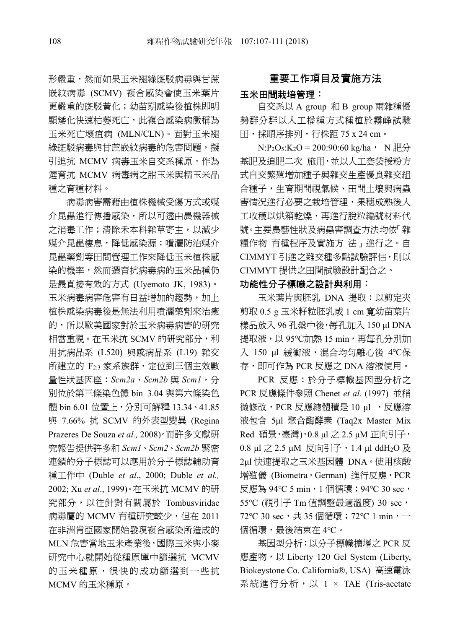形嚴重,然而如果玉米褪綠斑駁病毒與甘蔗 嵌紋病毒 (SCMV) 複合感染會使玉米葉片 更嚴重的斑駁黃化;幼苗期感染後植株即明 顯矮化快速枯萎死亡,此複合感染病徵稱為 玉米死亡壞疽病 (MLN/CLN)。面對玉米褪 綠斑駁病毒與甘蔗嵌紋病毒的危害問題,擬 引進抗 MCMV 病毒玉米自交系種原,作為 選育抗 MCMV 病毒病之甜玉米與糯玉米品 種之育種材料。

病毒病害需藉由植株機械受傷方式或媒 介昆蟲進行傳播感染,所以可透由農機器械 之消毒工作;清除禾本科雜草寄主,以減少 媒介昆蟲棲息,降低感染源;噴灑防治媒介 昆蟲藥劑等田間管理工作來降低玉米植株感 染的機率,然而選育抗病毒病的玉米品種仍 是最直接有效的方式 (Uyemoto JK, 1983)。 玉米病毒病害危害有日益增加的趨勢,加上 植株感染病毒後是無法利用噴灑藥劑來治癒 的,所以歐美國家對於玉米病毒病害的研究 相當重視。在玉米抗 SCMV 的研究部分,利 用抗病品系 (L520) 與感病品系 (L19) 雜交 所建立的 F2:3 家系族群,定位到三個主效數 量性狀基因座:*Scm2a*、*Scm2b* 與 *Scm1*,分 別位於第三條染色體 bin 3.04 與第六條染色 體 bin 6.01 位置上, 分別可解釋 13.34、41.85 與 7.66% 抗 SCMV 的外表型變異 (Regina Prazeres De Souza *et al.,* 2008)。而許多文獻研 究報告提供許多和 *Scm1*、*Scm2*、*Scm2b* 緊密 連鎖的分子標誌可以應用於分子標誌輔助育 種工作中 (Duble *et al*., 2000; Duble *et al.,* 2002; Xu *et al*., 1999)。在玉米抗 MCMV 的研 究部分,以往針對有關屬於 Tombusviridae 病毒屬的 MCMV 育種研究較少,但在 2011 在非洲肯亞國家開始發現複合感染所造成的 MLN 危害當地玉米產業後,國際玉米與小麥 研究中心就開始從種原庫中篩選抗 MCMV 的玉米種原,很快的成功篩選到一些抗 MCMV 的玉米種原。

### 重要工作項目及實施方法

#### 玉米田間栽培管理:

自交系以 A group 和 B group 兩雜種優 勢群分群以人工播種方式種植於霧峰試驗 田,採順序排列,行株距 75 x 24 cm。

 $N:P_2O_5:K_2O = 200:90:60$  kg/ha, N 肥分 基肥及追肥二次 施用,並以人工套袋授粉方 式自交繁殖增加種子與雜交生產優良雜交組 合種子,生育期間視氣候、田間土壤與病蟲 害情況進行必要之栽培管理,果穗成熟後人 工收穫以烘箱乾燥,再進行脫粒編號材料代 號。主要農藝性狀及病蟲害調査方法均依「雜 糧作物 育種程序及實施方 法」進行之。自 CIMMYT 引進之雜交種多點試驗評估,則以 CIMMYT 提供之田間試驗設計配合之。

#### 功能性分子標幟之設計與利用:

玉米葉片與胚乳 DNA 提取:以剪定夾 剪取 0.5 g 玉米籽粒胚乳或 1 cm 寬幼苗葉片 樣品放入 96 孔盤中後,每孔加入 150 μl DNA 提取液, 以 95℃加熱 15 min, 再每孔分別加 入 150 μl 緩衝液,混合均匀離心後 4℃保 存,即可作為 PCR 反應之 DNA 溶液使用。

PCR 反應:於分子標幟基因型分析之 PCR 反應條件參照 Chenet *et al.* (1997) 並稍 微修改, PCR 反應總體積是 10 μl , 反應溶 液包含 5μl 聚合酶酵素 (Taq2x Master Mix Red 碩景,臺灣),0.8 μl 之 2.5 μM 正向引子, 0.8 μl 之 2.5 μM 反向引子, 1.4 μl ddH2O 及 2μl 快速提取之玉米基因體 DNA。使用核酸 増殖儀 (Biometra,German) 進行反應,PCR 反應為 94℃ 5 min,1 個循環;94℃ 30 sec, 55℃ (視引子 Tm 值調整最適溫度) 30 sec, 72℃ 30 sec,共 35 個循環; 72℃ 1 min,一 個循環,最後結束在 4℃。

基因型分析:以分子標幟擴增之 PCR 反 應產物,以 Liberty 120 Gel System (Liberty, Biokeystone Co. California®, USA) 高速電泳 系統進行分析,以 1 × TAE (Tris-acetate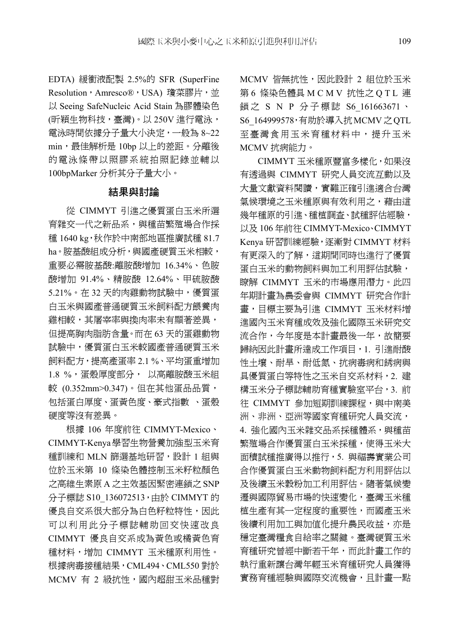EDTA) 緩衝液配製 2.5%的 SFR (SuperFine Resolution, Amresco®, USA) 瓊菜膠片, 並 以 Seeing SafeNucleic Acid Stain 為膠體染色 (昕穎生物科技,臺灣)。以 250V 進行電泳, 電泳時間依據分子量大小決定,一般為 8~22 min,最佳解析是 10bp 以上的差距。分離後 的電泳條帶以照膠系統拍照記錄並輔以 100bpMarker 分析其分子量大小。

## 結果與討論

從 CIMMYT 引進之優質蛋白玉米所選 育雜交一代之新品系,與種苗繁殖場合作採 種 1640 kg,秋作於中南部地區推廣試種 81.7 ha。胺基酸組成分析,與國產硬質玉米相較, 重要必需胺基酸:離胺酸增加 16.34%、色胺 酸增加 91.4%、精胺酸 12.64%、甲硫胺酸 5.21%。在 32 天的肉雞動物試驗中,優質蛋 白玉米與國產普通硬質玉米飼料配方餵養肉 雞相較,其屠宰率與換肉率未有顯著差異, 但提高胸肉脂肪含量。而在 63 天的蛋雞動物 試驗中,優質蛋白玉米較國產普通硬質玉米 飼料配方,提高產蛋率 2.1 %、平均蛋重增加 1.8 %,蛋殼厚度部分, 以高離胺酸玉米組 較 (0.352mm>0.347)。但在其他蛋品品質, 包括蛋白厚度、蛋黃色度、豪式指數 、蛋殼 硬度等沒有差異。

根據 106 年度前往 CIMMYT-Mexico、 CIMMYT-Kenya學習生物營養加強型玉米育 種訓練和 MLN 篩選基地研習,設計 1 組與 位於玉米第 10 條染色體控制玉米籽粒顏色 之高維生素原 A 之主效基因緊密連鎖之 SNP 分子標誌 S10\_136072513,由於 CIMMYT 的 優良自交系很大部分為白色籽粒特性,因此 可以利用此分子標誌輔助回交快速改良 CIMMYT 優良自交系成為黃色或橘黃色育 種材料,增加 CIMMYT 玉米種原利用性。 根據病毒接種結果,CML494、CML550 對於 MCMV 有 2 級抗性,國內超甜玉米品種對 MCMV 皆無抗性,因此設計 2 組位於玉米 第 6 條染色體具 M C M V 抗性之 Q T L 連 鎖之 S N P 分子標誌 S6 161663671、 S6\_164999578,有助於導入抗MCMV之QTL 至臺灣食用玉米育種材料中,提升玉米 MCMV 抗病能力。

CIMMYT 玉米種原豐富多樣化,如果沒 有透過與 CIMMYT 研究人員交流互動以及 大量文獻資料閱讀,實難正確引進適合台灣 氣候環境之玉米種原與有效利用之,藉由這 幾年種原的引進、種植調查、試種評估經驗, 以及 106 年前往 CIMMYT-Mexico、CIMMYT Kenya 研習訓練經驗,逐漸對 CIMMYT 材料 有更深入的了解,這期間同時也進行了優質 蛋白玉米的動物飼料與加工利用評估試驗, 瞭解 CIMMYT 玉米的市場應用潛力。此四 年期計畫為農委會與 CIMMYT 研究合作計 畫,目標主要為引進 CIMMYT 玉米材料增 進國內玉米育種成效及強化國際玉米研究交 流合作,今年度是本計畫最後一年,故簡要 歸納因此計畫所達成工作項目,1. 引進耐酸 性土壤、耐旱、耐低氮、抗病毒病和銹病與 具優質蛋白等特性之玉米自交系材料,2. 建 構玉米分子標誌輔助育種實驗室平台,3. 前 往 CIMMYT 參加短期訓練課程,與中南美 洲、非洲、亞洲等國家育種研究人員交流, 4. 強化國內玉米雜交品系採種體系,與種苗 繁殖場合作優質蛋白玉米採種,使得玉米大 面積試種推廣得以推行,5. 與福壽實業公司 合作優質蛋白玉米動物飼料配方利用評估以 及後續玉米穀粉加工利用評估。隨著氣候變 遷與國際貿易市場的快速變化,臺灣玉米種 植生產有其一定程度的重要性,而國產玉米 後續利用加工與加值化提升農民收益,亦是 穩定臺灣糧食自給率之關鍵。臺灣硬質玉米 育種研究曾經中斷若干年,而此計畫工作的 執行重新讓台灣年輕玉米育種研究人員獲得 實務育種經驗與國際交流機會,且計畫一點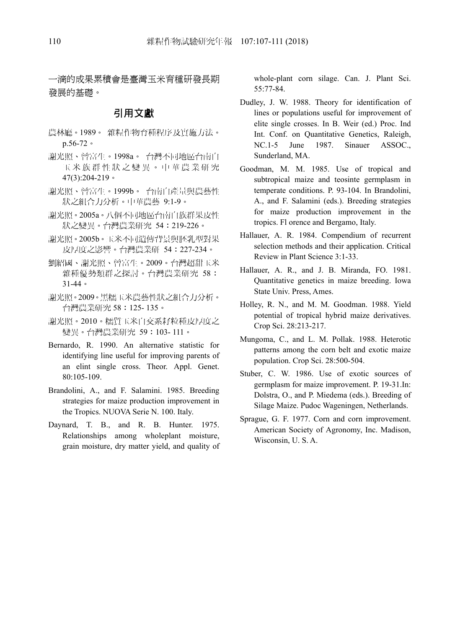一滴的成果累積會是臺灣玉米育種研發長期 發展的基礎。

### 引用文獻

- 農林廳。1989。 雜糧作物育種程序及實施方法。 p.56-72。
- 謝光照、曾富生。1998a。 台灣不同地區台南白 玉米族群性狀之變異。中華農業研究 47(3):204-219。
- 謝光照、曾富生。1999b。 台南白產量與農藝性 狀之組合力分析。中華農藝 9:1-9。
- 謝光照。2005a。八個不同地區台南白族群果皮性 狀之變異。台灣農業研究 54:219-226。
- 謝光照。2005b。玉米不同遺傳背景與胚乳型對果 皮厚度之影響。台灣農業研 54:227-234。
- 劉紹國、謝光照、曾富生。2009。台灣超甜玉米 雜種優勢類群之探討。台灣農業研究 58: 31-44。
- 謝光照。2009。黑糯玉米農藝性狀之組合力分析。 台灣農業研究 58:125- 135。
- 謝光照。2010。糯質玉米自交系耔粒種皮厚度之 變異。台灣農業研究 59:103- 111。
- Bernardo, R. 1990. An alternative statistic for identifying line useful for improving parents of an elint single cross. Theor. Appl. Genet. 80:105-109.
- Brandolini, A., and F. Salamini. 1985. Breeding strategies for maize production improvement in the Tropics. NUOVA Serie N. 100. Italy.
- Daynard, T. B., and R. B. Hunter. 1975. Relationships among wholeplant moisture, grain moisture, dry matter yield, and quality of

whole-plant corn silage. Can. J. Plant Sci. 55:77-84.

- Dudley, J. W. 1988. Theory for identification of lines or populations useful for improvement of elite single crosses. In B. Weir (ed.) Proc. Ind Int. Conf. on Quantitative Genetics, Raleigh, NC.1-5 June 1987. Sinauer ASSOC., Sunderland, MA.
- Goodman, M. M. 1985. Use of tropical and subtropical maize and teosinte germplasm in temperate conditions. P. 93-104. In Brandolini, A., and F. Salamini (eds.). Breeding strategies for maize production improvement in the tropics. Fl orence and Bergamo, Italy.
- Hallauer, A. R. 1984. Compendium of recurrent selection methods and their application. Critical Review in Plant Science 3:1-33.
- Hallauer, A. R., and J. B. Miranda, FO. 1981. Quantitative genetics in maize breeding. Iowa State Univ. Press, Ames.
- Holley, R. N., and M. M. Goodman. 1988. Yield potential of tropical hybrid maize derivatives. Crop Sci. 28:213-217.
- Mungoma, C., and L. M. Pollak. 1988. Heterotic patterns among the corn belt and exotic maize population. Crop Sci. 28:500-504.
- Stuber, C. W. 1986. Use of exotic sources of germplasm for maize improvement. P. 19-31.In: Dolstra, O., and P. Miedema (eds.). Breeding of Silage Maize. Pudoc Wageningen, Netherlands.
- Sprague, G. F. 1977. Corn and corn improvement. American Society of Agronomy, Inc. Madison, Wisconsin, U. S. A.